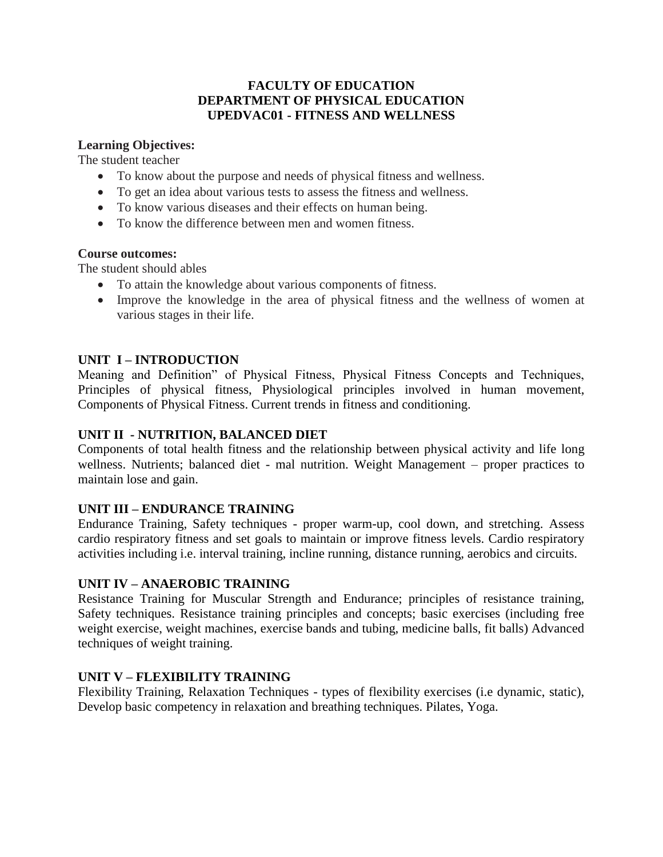# **FACULTY OF EDUCATION DEPARTMENT OF PHYSICAL EDUCATION UPEDVAC01 - FITNESS AND WELLNESS**

# **Learning Objectives:**

The student teacher

- To know about the purpose and needs of physical fitness and wellness.
- To get an idea about various tests to assess the fitness and wellness.
- To know various diseases and their effects on human being.
- To know the difference between men and women fitness.

## **Course outcomes:**

The student should ables

- To attain the knowledge about various components of fitness.
- Improve the knowledge in the area of physical fitness and the wellness of women at various stages in their life.

## **UNIT I – INTRODUCTION**

Meaning and Definition" of Physical Fitness, Physical Fitness Concepts and Techniques, Principles of physical fitness, Physiological principles involved in human movement, Components of Physical Fitness. Current trends in fitness and conditioning.

## **UNIT II - NUTRITION, BALANCED DIET**

Components of total health fitness and the relationship between physical activity and life long wellness. Nutrients; balanced diet - mal nutrition. Weight Management – proper practices to maintain lose and gain.

## **UNIT III – ENDURANCE TRAINING**

Endurance Training, Safety techniques - proper warm-up, cool down, and stretching. Assess cardio respiratory fitness and set goals to maintain or improve fitness levels. Cardio respiratory activities including i.e. interval training, incline running, distance running, aerobics and circuits.

## **UNIT IV – ANAEROBIC TRAINING**

Resistance Training for Muscular Strength and Endurance; principles of resistance training, Safety techniques. Resistance training principles and concepts; basic exercises (including free weight exercise, weight machines, exercise bands and tubing, medicine balls, fit balls) Advanced techniques of weight training.

## **UNIT V – FLEXIBILITY TRAINING**

Flexibility Training, Relaxation Techniques - types of flexibility exercises (i.e dynamic, static), Develop basic competency in relaxation and breathing techniques. Pilates, Yoga.